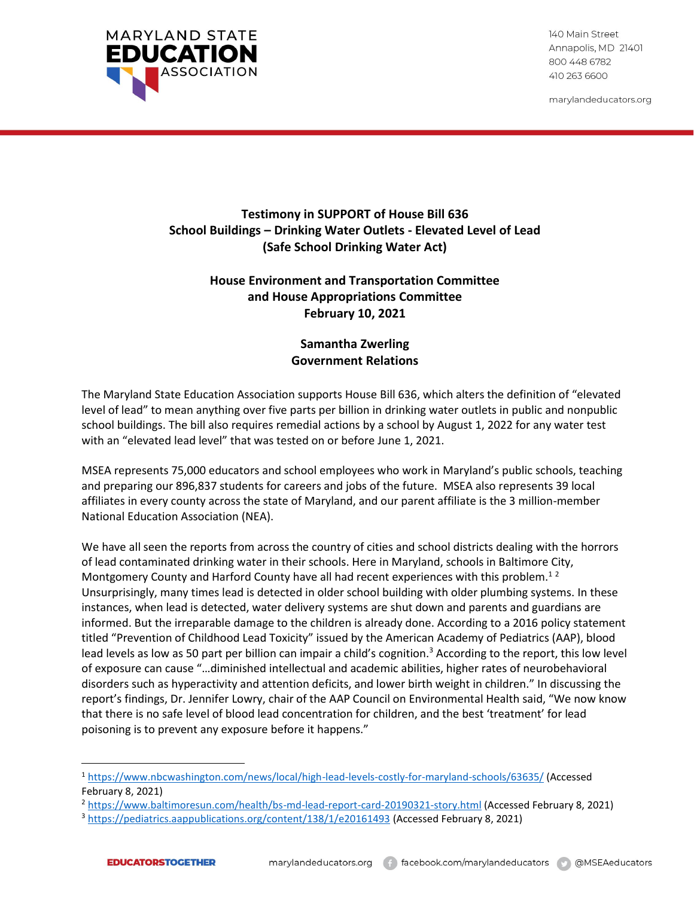

140 Main Street Annapolis, MD 21401 800 448 6782 410 263 6600

marylandeducators.org

## **Testimony in SUPPORT of House Bill 636 School Buildings – Drinking Water Outlets - Elevated Level of Lead (Safe School Drinking Water Act)**

## **House Environment and Transportation Committee and House Appropriations Committee February 10, 2021**

## **Samantha Zwerling Government Relations**

The Maryland State Education Association supports House Bill 636, which alters the definition of "elevated level of lead" to mean anything over five parts per billion in drinking water outlets in public and nonpublic school buildings. The bill also requires remedial actions by a school by August 1, 2022 for any water test with an "elevated lead level" that was tested on or before June 1, 2021.

MSEA represents 75,000 educators and school employees who work in Maryland's public schools, teaching and preparing our 896,837 students for careers and jobs of the future. MSEA also represents 39 local affiliates in every county across the state of Maryland, and our parent affiliate is the 3 million-member National Education Association (NEA).

We have all seen the reports from across the country of cities and school districts dealing with the horrors of lead contaminated drinking water in their schools. Here in Maryland, schools in Baltimore City, Montgomery County and Harford County have all had recent experiences with this problem.<sup>12</sup> Unsurprisingly, many times lead is detected in older school building with older plumbing systems. In these instances, when lead is detected, water delivery systems are shut down and parents and guardians are informed. But the irreparable damage to the children is already done. According to a 2016 policy statement titled "Prevention of Childhood Lead Toxicity" issued by the American Academy of Pediatrics (AAP), blood lead levels as low as 50 part per billion can impair a child's cognition.<sup>3</sup> According to the report, this low level of exposure can cause "…diminished intellectual and academic abilities, higher rates of neurobehavioral disorders such as hyperactivity and attention deficits, and lower birth weight in children." In discussing the report's findings, Dr. Jennifer Lowry, chair of the AAP Council on Environmental Health said, "We now know that there is no safe level of blood lead concentration for children, and the best 'treatment' for lead poisoning is to prevent any exposure before it happens."

<sup>1</sup> <https://www.nbcwashington.com/news/local/high-lead-levels-costly-for-maryland-schools/63635/> (Accessed February 8, 2021)

<sup>&</sup>lt;sup>2</sup> <https://www.baltimoresun.com/health/bs-md-lead-report-card-20190321-story.html> (Accessed February 8, 2021)

<sup>3</sup> <https://pediatrics.aappublications.org/content/138/1/e20161493> (Accessed February 8, 2021)